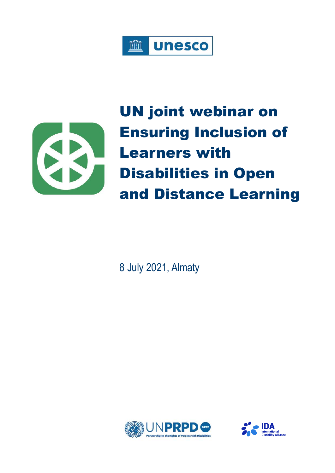



UN joint webinar on Ensuring Inclusion of Learners with Disabilities in Open and Distance Learning

8 July 2021, Almaty



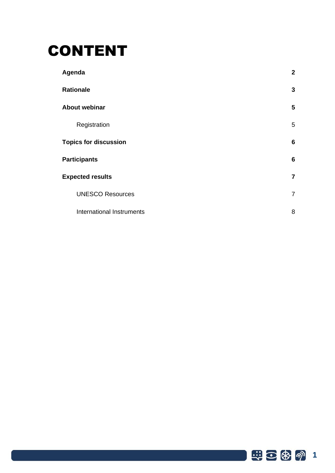# CONTENT

| Agenda                       | $\mathbf{2}$    |
|------------------------------|-----------------|
| <b>Rationale</b>             | $\mathbf{3}$    |
| <b>About webinar</b>         | 5               |
| Registration                 | 5               |
| <b>Topics for discussion</b> | $6\phantom{1}6$ |
| <b>Participants</b>          | 6               |
| <b>Expected results</b>      | $\overline{7}$  |
| <b>UNESCO Resources</b>      | $\overline{7}$  |
| International Instruments    | 8               |

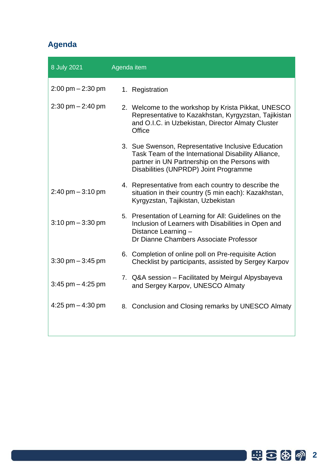## <span id="page-2-0"></span>**Agenda**

| 8 July 2021                         | Agenda item                                                                                                                                                                                         |
|-------------------------------------|-----------------------------------------------------------------------------------------------------------------------------------------------------------------------------------------------------|
| $2:00 \text{ pm} - 2:30 \text{ pm}$ | 1. Registration                                                                                                                                                                                     |
| $2:30$ pm $- 2:40$ pm               | 2. Welcome to the workshop by Krista Pikkat, UNESCO<br>Representative to Kazakhstan, Kyrgyzstan, Tajikistan<br>and O.I.C. in Uzbekistan, Director Almaty Cluster<br>Office                          |
|                                     | 3. Sue Swenson, Representative Inclusive Education<br>Task Team of the International Disability Alliance,<br>partner in UN Partnership on the Persons with<br>Disabilities (UNPRDP) Joint Programme |
| $2:40 \text{ pm} - 3:10 \text{ pm}$ | 4. Representative from each country to describe the<br>situation in their country (5 min each): Kazakhstan,<br>Kyrgyzstan, Tajikistan, Uzbekistan                                                   |
| $3:10 \text{ pm} - 3:30 \text{ pm}$ | 5. Presentation of Learning for All: Guidelines on the<br>Inclusion of Learners with Disabilities in Open and<br>Distance Learning -<br>Dr Dianne Chambers Associate Professor                      |
| $3:30$ pm $-3:45$ pm                | 6. Completion of online poll on Pre-requisite Action<br>Checklist by participants, assisted by Sergey Karpov                                                                                        |
| $3:45$ pm $-4:25$ pm                | 7. Q&A session - Facilitated by Meirgul Alpysbayeva<br>and Sergey Karpov, UNESCO Almaty                                                                                                             |
| 4:25 pm $-$ 4:30 pm                 | 8. Conclusion and Closing remarks by UNESCO Almaty                                                                                                                                                  |
|                                     |                                                                                                                                                                                                     |

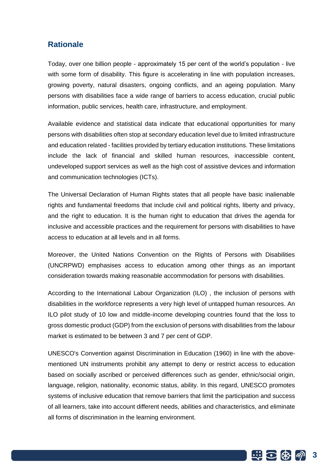## <span id="page-3-0"></span>**Rationale**

Today, over one billion people - approximately 15 per cent of the world's population - live with some form of disability. This figure is accelerating in line with population increases, growing poverty, natural disasters, ongoing conflicts, and an ageing population. Many persons with disabilities face a wide range of barriers to access education, crucial public information, public services, health care, infrastructure, and employment.

Available evidence and statistical data indicate that educational opportunities for many persons with disabilities often stop at secondary education level due to limited infrastructure and education related - facilities provided by tertiary education institutions. These limitations include the lack of financial and skilled human resources, inaccessible content, undeveloped support services as well as the high cost of assistive devices and information and communication technologies (ICTs).

The Universal Declaration of Human Rights states that all people have basic inalienable rights and fundamental freedoms that include civil and political rights, liberty and privacy, and the right to education. It is the human right to education that drives the agenda for inclusive and accessible practices and the requirement for persons with disabilities to have access to education at all levels and in all forms.

Moreover, the United Nations Convention on the Rights of Persons with Disabilities (UNCRPWD) emphasises access to education among other things as an important consideration towards making reasonable accommodation for persons with disabilities.

According to the International Labour Organization (ILO) , the inclusion of persons with disabilities in the workforce represents a very high level of untapped human resources. An ILO pilot study of 10 low and middle-income developing countries found that the loss to gross domestic product (GDP) from the exclusion of persons with disabilities from the labour market is estimated to be between 3 and 7 per cent of GDP.

UNESCO's Convention against Discrimination in Education (1960) in line with the abovementioned UN instruments prohibit any attempt to deny or restrict access to education based on socially ascribed or perceived differences such as gender, ethnic/social origin, language, religion, nationality, economic status, ability. In this regard, UNESCO promotes systems of inclusive education that remove barriers that limit the participation and success of all learners, take into account different needs, abilities and characteristics, and eliminate all forms of discrimination in the learning environment.

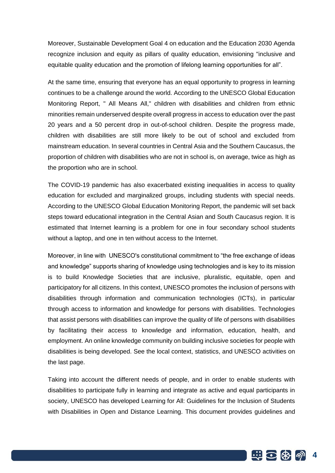Moreover, Sustainable Development Goal 4 on education and the Education 2030 Agenda recognize inclusion and equity as pillars of quality education, envisioning "inclusive and equitable quality education and the promotion of lifelong learning opportunities for all".

At the same time, ensuring that everyone has an equal opportunity to progress in learning continues to be a challenge around the world. According to the UNESCO Global Education Monitoring Report, " All Means All," children with disabilities and children from ethnic minorities remain underserved despite overall progress in access to education over the past 20 years and a 50 percent drop in out-of-school children. Despite the progress made, children with disabilities are still more likely to be out of school and excluded from mainstream education. In several countries in Central Asia and the Southern Caucasus, the proportion of children with disabilities who are not in school is, on average, twice as high as the proportion who are in school.

The COVID-19 pandemic has also exacerbated existing inequalities in access to quality education for excluded and marginalized groups, including students with special needs. According to the UNESCO Global Education Monitoring Report, the pandemic will set back steps toward educational integration in the Central Asian and South Caucasus region. It is estimated that Internet learning is a problem for one in four secondary school students without a laptop, and one in ten without access to the Internet.

Moreover, in line with UNESCO's constitutional commitment to "the free exchange of ideas and knowledge" supports sharing of knowledge using technologies and is key to its mission is to build Knowledge Societies that are inclusive, pluralistic, equitable, open and participatory for all citizens. In this context, UNESCO promotes the inclusion of persons with disabilities through information and communication technologies (ICTs), in particular through access to information and knowledge for persons with disabilities. Technologies that assist persons with disabilities can improve the quality of life of persons with disabilities by facilitating their access to knowledge and information, education, health, and employment. An online knowledge community on building inclusive societies for people with disabilities is being developed. See the local context, statistics, and UNESCO activities on the last page.

Taking into account the different needs of people, and in order to enable students with disabilities to participate fully in learning and integrate as active and equal participants in society, UNESCO has developed Learning for All: Guidelines for the Inclusion of Students with Disabilities in Open and Distance Learning. This document provides guidelines and

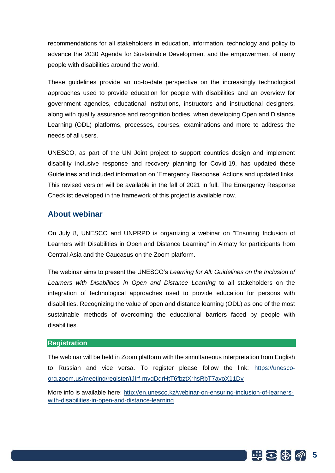recommendations for all stakeholders in education, information, technology and policy to advance the 2030 Agenda for Sustainable Development and the empowerment of many people with disabilities around the world.

These guidelines provide an up-to-date perspective on the increasingly technological approaches used to provide education for people with disabilities and an overview for government agencies, educational institutions, instructors and instructional designers, along with quality assurance and recognition bodies, when developing Open and Distance Learning (ODL) platforms, processes, courses, examinations and more to address the needs of all users.

UNESCO, as part of the UN Joint project to support countries design and implement disability inclusive response and recovery planning for Covid-19, has updated these Guidelines and included information on 'Emergency Response' Actions and updated links. This revised version will be available in the fall of 2021 in full. The Emergency Response Checklist developed in the framework of this project is available now.

### <span id="page-5-0"></span>**About webinar**

On July 8, UNESCO and UNPRPD is organizing a webinar on "Ensuring Inclusion of Learners with Disabilities in Open and Distance Learning" in Almaty for participants from Central Asia and the Caucasus on the Zoom platform.

The webinar aims to present the UNESCO's *Learning for All: Guidelines on the Inclusion of Learners with Disabilities in Open and Distance Learning* to all stakeholders on the integration of technological approaches used to provide education for persons with disabilities. Recognizing the value of open and distance learning (ODL) as one of the most sustainable methods of overcoming the educational barriers faced by people with disabilities.

#### <span id="page-5-1"></span>**Registration**

The webinar will be held in Zoom platform with the simultaneous interpretation from English to Russian and vice versa. To register please follow the link: [https://unesco](https://unesco-org.zoom.us/meeting/register/tJIrf-mvqDgrHtT6fbztXrhsRbT7avoX11Dv)[org.zoom.us/meeting/register/tJIrf-mvqDgrHtT6fbztXrhsRbT7avoX11Dv](https://unesco-org.zoom.us/meeting/register/tJIrf-mvqDgrHtT6fbztXrhsRbT7avoX11Dv)

More info is available here: [http://en.unesco.kz/webinar-on-ensuring-inclusion-of-learners](http://en.unesco.kz/webinar-on-ensuring-inclusion-of-learners-with-disabilities-in-open-and-distance-learning)[with-disabilities-in-open-and-distance-learning](http://en.unesco.kz/webinar-on-ensuring-inclusion-of-learners-with-disabilities-in-open-and-distance-learning)

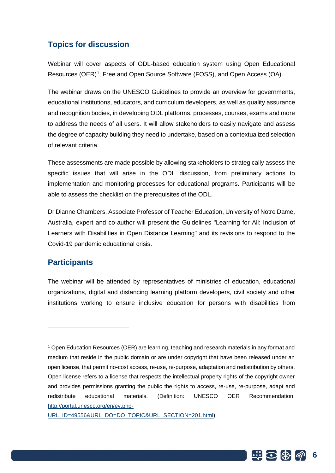## <span id="page-6-0"></span>**Topics for discussion**

Webinar will cover aspects of ODL-based education system using Open Educational Resources (OER)<sup>1</sup>, Free and Open Source Software (FOSS), and Open Access (OA).

The webinar draws on the UNESCO Guidelines to provide an overview for governments, educational institutions, educators, and curriculum developers, as well as quality assurance and recognition bodies, in developing ODL platforms, processes, courses, exams and more to address the needs of all users. It will allow stakeholders to easily navigate and assess the degree of capacity building they need to undertake, based on a contextualized selection of relevant criteria.

These assessments are made possible by allowing stakeholders to strategically assess the specific issues that will arise in the ODL discussion, from preliminary actions to implementation and monitoring processes for educational programs. Participants will be able to assess the checklist on the prerequisites of the ODL.

Dr Dianne Chambers, Associate Professor of Teacher Education, University of Notre Dame, Australia, expert and co-author will present the Guidelines "Learning for All: Inclusion of Learners with Disabilities in Open Distance Learning" and its revisions to respond to the Covid-19 pandemic educational crisis.

## <span id="page-6-1"></span>**Participants**

The webinar will be attended by representatives of ministries of education, educational organizations, digital and distancing learning platform developers, civil society and other institutions working to ensure inclusive education for persons with disabilities from



<sup>1</sup> Open Education Resources (OER) are learning, teaching and research materials in any format and medium that reside in the public domain or are under copyright that have been released under an open license, that permit no-cost access, re-use, re-purpose, adaptation and redistribution by others. Open license refers to a license that respects the intellectual property rights of the copyright owner and provides permissions granting the public the rights to access, re-use, re-purpose, adapt and redistribute educational materials. (Definition: UNESCO OER Recommendation: [http://portal.unesco.org/en/ev.php-](http://portal.unesco.org/en/ev.php-URL_ID=49556&URL_DO=DO_TOPIC&URL_SECTION=201.html)

[URL\\_ID=49556&URL\\_DO=DO\\_TOPIC&URL\\_SECTION=201.html\)](http://portal.unesco.org/en/ev.php-URL_ID=49556&URL_DO=DO_TOPIC&URL_SECTION=201.html)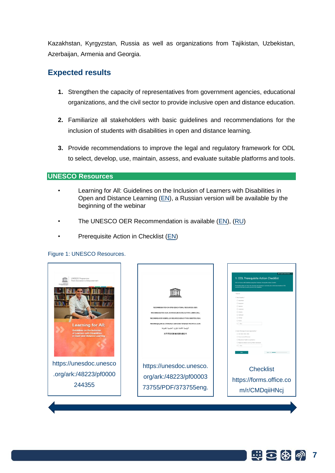Kazakhstan, Kyrgyzstan, Russia as well as organizations from Tajikistan, Uzbekistan, Azerbaijan, Armenia and Georgia.

## <span id="page-7-0"></span>**Expected results**

- **1.** Strengthen the capacity of representatives from government agencies, educational organizations, and the civil sector to provide inclusive open and distance education.
- **2.** Familiarize all stakeholders with basic guidelines and recommendations for the inclusion of students with disabilities in open and distance learning.
- **3.** Provide recommendations to improve the legal and regulatory framework for ODL to select, develop, use, maintain, assess, and evaluate suitable platforms and tools.

#### <span id="page-7-1"></span>**UNESCO Resources**

- Learning for All: Guidelines on the Inclusion of Learners with Disabilities in Open and Distance Learning [\(EN\)](https://unesdoc.unesco.org/ark:/48223/pf0000244355), a Russian version will be available by the beginning of the webinar
- The UNESCO OER Recommendation is available [\(EN\)](http://portal.unesco.org/en/ev.php-URL_ID=49556&URL_DO=DO_TOPIC&URL_SECTION=201.html), [\(RU\)](https://unesdoc.unesco.org/ark:/48223/pf0000373755/PDF/373755eng.pdf.multi.page=29)
- Prerequisite Action in Checklist [\(EN\)](https://forms.office.com/r/CMDqiiHNcj)

#### Figure 1: UNESCO Resources.

| UNESCO Programme:<br>From Exclusion to Empowerment<br><b>Learning for All:</b><br><b>Guidelines on the Inclusion</b><br>of Learners with Disabilities<br>in Open and Distance Learning | RECOMMENDATION ON OPEN EDUCATIONAL RESOURCES (OER)<br>RECOMMANDATION SUR LES RESSOURCES ÉDUCATIVES LIBRES (REL)<br>RECOMENDACIÓN SOBRE LOS RECURSOS EDUCATIVOS ABIERTOS IREA)<br>РЕКОМЕНДАЦИЯ ОБ ОТКРЫТЫХ ОБРАЗОВАТЕЛЬНЫХ РЕСУРСАХ (ООР)<br>التوصية الخاصة بالموارد التعليمية المقتوحة<br>关于开放式教育资源的建议书 | <b>Q</b> English Eliminal States<br>1. ODL Prerequisite Action Checklist<br>ODL for Persons with Disabilities using Open Solutions. Prerequisite Actions Checklist<br>ite actions are those that educators and developers must take prior to the disc<br>as that may be used by persons with cloudidities<br>* Required<br>1. Your Country<br>C Kezeithsta<br>C Kyrgyzstan<br>C Tajisiran<br>O Usbelistar<br>O Arrenia<br>C Apeteiler<br>C Georgia<br>C) Austa<br>$O$ one<br>2. Select the type of your organization *<br>C CSO (NGO, NNO, ONC)<br>C Governmental (Ministries)<br>C Educational Academic organizations<br>C Digital and distance Learning Platform developer<br>$O$ one |
|----------------------------------------------------------------------------------------------------------------------------------------------------------------------------------------|---------------------------------------------------------------------------------------------------------------------------------------------------------------------------------------------------------------------------------------------------------------------------------------------------------|-----------------------------------------------------------------------------------------------------------------------------------------------------------------------------------------------------------------------------------------------------------------------------------------------------------------------------------------------------------------------------------------------------------------------------------------------------------------------------------------------------------------------------------------------------------------------------------------------------------------------------------------------------------------------------------------|
| https://unesdoc.unesco                                                                                                                                                                 | https://unesdoc.unesco.                                                                                                                                                                                                                                                                                 | <b>Checklist</b>                                                                                                                                                                                                                                                                                                                                                                                                                                                                                                                                                                                                                                                                        |
| .org/ark:/48223/pf0000                                                                                                                                                                 | org/ark:/48223/pf00003                                                                                                                                                                                                                                                                                  | https://forms.office.co                                                                                                                                                                                                                                                                                                                                                                                                                                                                                                                                                                                                                                                                 |
| 244355                                                                                                                                                                                 | 73755/PDF/373755eng.                                                                                                                                                                                                                                                                                    | m/r/CMDqiiHNcj                                                                                                                                                                                                                                                                                                                                                                                                                                                                                                                                                                                                                                                                          |